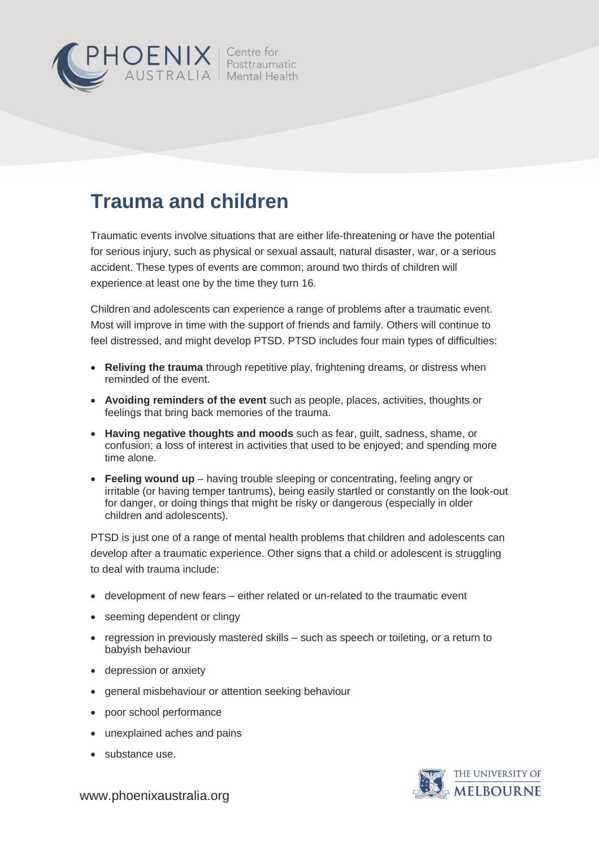

# **Trauma and children**

Traumatic events involve situations that are either life-threatening or have the potential for serious injury, such as physical or sexual assault, natural disaster, war, or a serious accident. These types of events are common; around two thirds of children will experience at least one by the time they turn 16.

Children and adolescents can experience a range of problems after a traumatic event. Most will improve in time with the support of friends and family. Others will continue to feel distressed, and might develop PTSD. PTSD includes four main types of difficulties:

- **Reliving the trauma** through repetitive play, frightening dreams, or distress when reminded of the event.
- **Avoiding reminders of the event** such as people, places, activities, thoughts or feelings that bring back memories of the trauma.
- **Having negative thoughts and moods** such as fear, guilt, sadness, shame, or confusion; a loss of interest in activities that used to be enjoyed; and spending more time alone.
- **Feeling wound up** having trouble sleeping or concentrating, feeling angry or irritable (or having temper tantrums), being easily startled or constantly on the look-out for danger, or doing things that might be risky or dangerous (especially in older children and adolescents).

PTSD is just one of a range of mental health problems that children and adolescents can develop after a traumatic experience. Other signs that a child or adolescent is struggling to deal with trauma include:

- development of new fears either related or un-related to the traumatic event
- seeming dependent or clingy
- regression in previously mastered skills such as speech or toileting, or a return to babyish behaviour
- depression or anxiety
- general misbehaviour or attention seeking behaviour
- poor school performance
- unexplained aches and pains
- substance use.



www.phoenixaustralia.org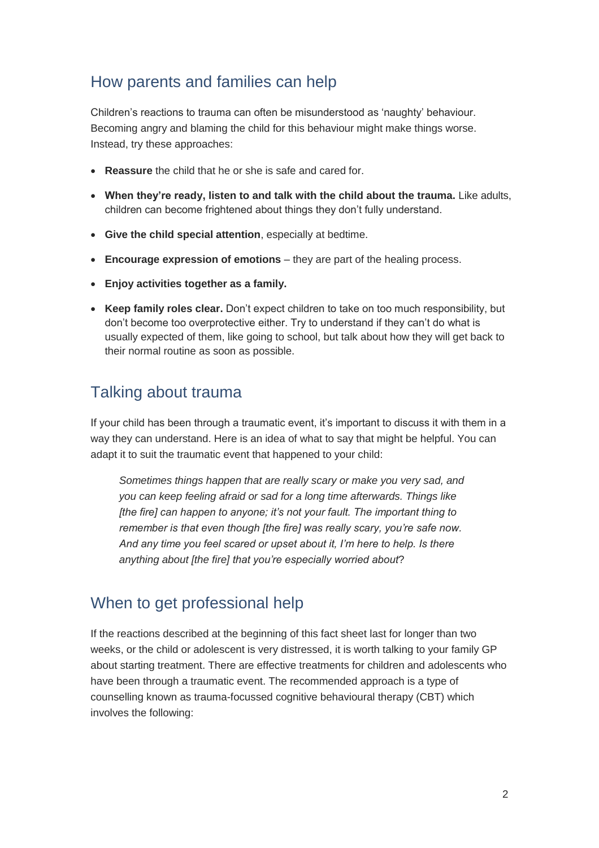### How parents and families can help

Children's reactions to trauma can often be misunderstood as 'naughty' behaviour. Becoming angry and blaming the child for this behaviour might make things worse. Instead, try these approaches:

- **Reassure** the child that he or she is safe and cared for.
- **When they're ready, listen to and talk with the child about the trauma.** Like adults, children can become frightened about things they don't fully understand.
- **Give the child special attention**, especially at bedtime.
- **Encourage expression of emotions** they are part of the healing process.
- **Enjoy activities together as a family.**
- **Keep family roles clear.** Don't expect children to take on too much responsibility, but don't become too overprotective either. Try to understand if they can't do what is usually expected of them, like going to school, but talk about how they will get back to their normal routine as soon as possible.

### Talking about trauma

If your child has been through a traumatic event, it's important to discuss it with them in a way they can understand. Here is an idea of what to say that might be helpful. You can adapt it to suit the traumatic event that happened to your child:

*Sometimes things happen that are really scary or make you very sad, and you can keep feeling afraid or sad for a long time afterwards. Things like [the fire] can happen to anyone; it's not your fault. The important thing to remember is that even though [the fire] was really scary, you're safe now. And any time you feel scared or upset about it, I'm here to help. Is there anything about [the fire] that you're especially worried about*?

#### When to get professional help

If the reactions described at the beginning of this fact sheet last for longer than two weeks, or the child or adolescent is very distressed, it is worth talking to your family GP about starting treatment. There are effective treatments for children and adolescents who have been through a traumatic event. The recommended approach is a type of counselling known as trauma-focussed cognitive behavioural therapy (CBT) which involves the following: